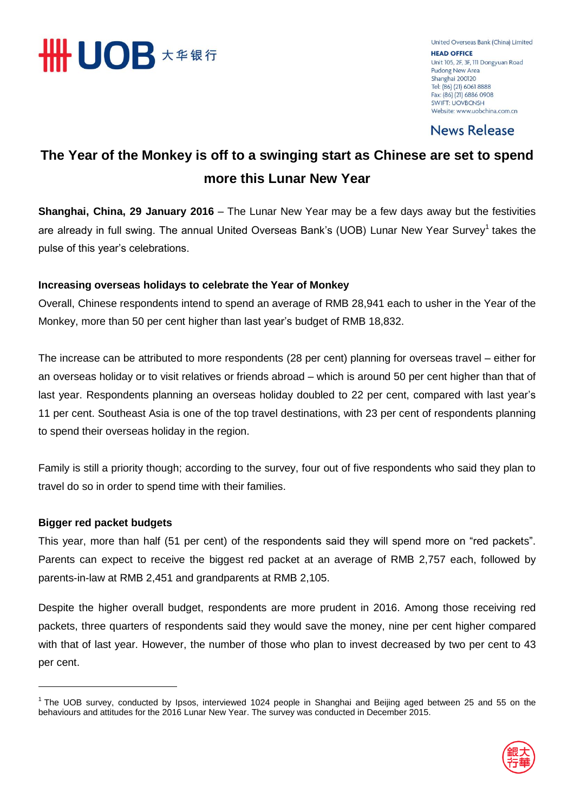

United Overseas Bank (China) Limited **HEAD OFFICE** Unit 105, 2F, 3F, 111 Dongyuan Road Pudong New Area Shanghai 200120 Tel: (86) (21) 6061 8888 Fax: (86) (21) 6886 0908 **SWIFT: UOVBCNSH** Website: www.uobchina.com.cn

**News Release** 

# **The Year of the Monkey is off to a swinging start as Chinese are set to spend more this Lunar New Year**

**Shanghai, China, 29 January 2016** – The Lunar New Year may be a few days away but the festivities are already in full swing. The annual United Overseas Bank's (UOB) Lunar New Year Survey<sup>1</sup> takes the pulse of this year's celebrations.

### **Increasing overseas holidays to celebrate the Year of Monkey**

Overall, Chinese respondents intend to spend an average of RMB 28,941 each to usher in the Year of the Monkey, more than 50 per cent higher than last year's budget of RMB 18,832.

The increase can be attributed to more respondents (28 per cent) planning for overseas travel – either for an overseas holiday or to visit relatives or friends abroad – which is around 50 per cent higher than that of last year. Respondents planning an overseas holiday doubled to 22 per cent, compared with last year's 11 per cent. Southeast Asia is one of the top travel destinations, with 23 per cent of respondents planning to spend their overseas holiday in the region.

Family is still a priority though; according to the survey, four out of five respondents who said they plan to travel do so in order to spend time with their families.

### **Bigger red packet budgets**

-

This year, more than half (51 per cent) of the respondents said they will spend more on "red packets". Parents can expect to receive the biggest red packet at an average of RMB 2,757 each, followed by parents-in-law at RMB 2,451 and grandparents at RMB 2,105.

Despite the higher overall budget, respondents are more prudent in 2016. Among those receiving red packets, three quarters of respondents said they would save the money, nine per cent higher compared with that of last year. However, the number of those who plan to invest decreased by two per cent to 43 per cent.

<sup>&</sup>lt;sup>1</sup> The UOB survey, conducted by Ipsos, interviewed 1024 people in Shanghai and Beijing aged between 25 and 55 on the behaviours and attitudes for the 2016 Lunar New Year. The survey was conducted in December 2015.